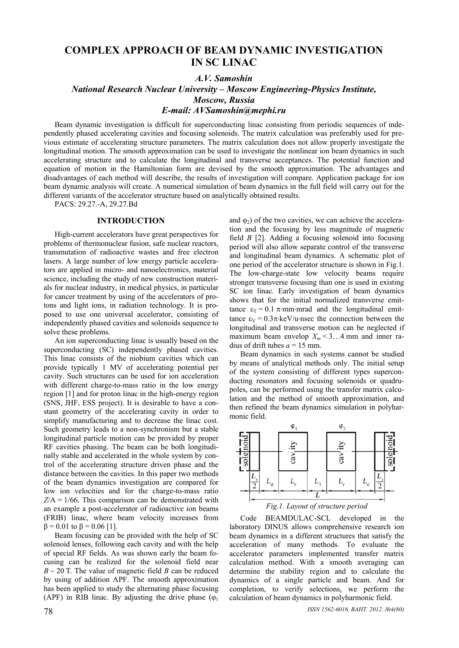# **COMPLEX APPROACH OF BEAM DYNAMIC INVESTIGATION IN SC LINAC**

### *A.V. Samoshin*

*National Research Nuclear University – Moscow Engineering-Physics Institute, Moscow, Russia E-mail: AVSamoshin@mephi.ru* 

Beam dynamic investigation is difficult for superconducting linac consisting from periodic sequences of independently phased accelerating cavities and focusing solenoids. The matrix calculation was preferably used for previous estimate of accelerating structure parameters. The matrix calculation does not allow properly investigate the longitudinal motion. The smooth approximation can be used to investigate the nonlinear ion beam dynamics in such accelerating structure and to calculate the longitudinal and transverse acceptances. The potential function and equation of motion in the Hamiltonian form are devised by the smooth approximation. The advantages and disadvantages of each method will describe, the results of investigation will compare. Application package for ion beam dynamic analysis will create. A numerical simulation of beam dynamics in the full field will carry out for the different variants of the accelerator structure based on analytically obtained results.

PACS: 29.27.-A, 29.27.Bd

#### **INTRODUCTION**

High-current accelerators have great perspectives for problems of thermonuclear fusion, safe nuclear reactors, transmutation of radioactive wastes and free electron lasers. A large number of low energy particle accelerators are applied in micro- and nanoelectronics, material science, including the study of new construction materials for nuclear industry, in medical physics, in particular for cancer treatment by using of the accelerators of protons and light ions, in radiation technology. It is proposed to use one universal accelerator, consisting of independently phased cavities and solenoids sequence to solve these problems.

An ion superconducting linac is usually based on the superconducting (SC) independently phased cavities. This linac consists of the niobium cavities which can provide typically 1 MV of accelerating potential per cavity. Such structures can be used for ion acceleration with different charge-to-mass ratio in the low energy region [1] and for proton linac in the high-energy region (SNS, JHF, ESS project). It is desirable to have a constant geometry of the accelerating cavity in order to simplify manufacturing and to decrease the linac cost. Such geometry leads to a non-synchronism but a stable longitudinal particle motion can be provided by proper RF cavities phasing. The beam can be both longitudinally stable and accelerated in the whole system by control of the accelerating structure driven phase and the distance between the cavities. In this paper two methods of the beam dynamics investigation are compared for low ion velocities and for the charge-to-mass ratio  $Z/A = 1/66$ . This comparison can be demonstrated with an example a post-accelerator of radioactive ion beams (FRIB) linac, where beam velocity increases from  $β = 0.01$  to  $β = 0.06$  [1].

Beam focusing can be provided with the help of SC solenoid lenses, following each cavity and with the help of special RF fields. As was shown early the beam focusing can be realized for the solenoid field near  $B \sim 20$  T. The value of magnetic field *B* can be reduced by using of addition APF. The smooth approximation has been applied to study the alternating phase focusing (APF) in RIB linac. By adjusting the drive phase  $(\varphi_1)$  and  $\varphi_2$ ) of the two cavities, we can achieve the acceleration and the focusing by less magnitude of magnetic field *B* [2]. Adding a focusing solenoid into focusing period will also allow separate control of the transverse and longitudinal beam dynamics. A schematic plot of one period of the accelerator structure is shown in Fig.1. The low-charge-state low velocity beams require stronger transverse focusing than one is used in existing SC ion linac. Early investigation of beam dynamics shows that for the initial normalized transverse emittance  $\varepsilon_T = 0.1 \pi \cdot mm \cdot mrad$  and the longitudinal emittance  $\epsilon_V = 0.3\pi \cdot keV/u$  nsec the connection between the longitudinal and transverse motion can be neglected if maximum beam envelop  $X_m < 3...4$  mm and inner radius of drift tubes  $a = 15$  mm.

Beam dynamics in such systems cannot be studied by means of analytical methods only. The initial setup of the system consisting of different types superconducting resonators and focusing solenoids or quadrupoles, can be performed using the transfer matrix calculation and the method of smooth approximation, and then refined the beam dynamics simulation in polyharmonic field.





Code BEAMDULAC-SCL developed in the laboratory DINUS allows comprehensive research ion beam dynamics in a different structures that satisfy the acceleration of many methods. To evaluate the accelerator parameters implemented transfer matrix calculation method. With a smooth averaging can determine the stability region and to calculate the dynamics of a single particle and beam. And for completion, to verify selections, we perform the calculation of beam dynamics in polyharmonic field.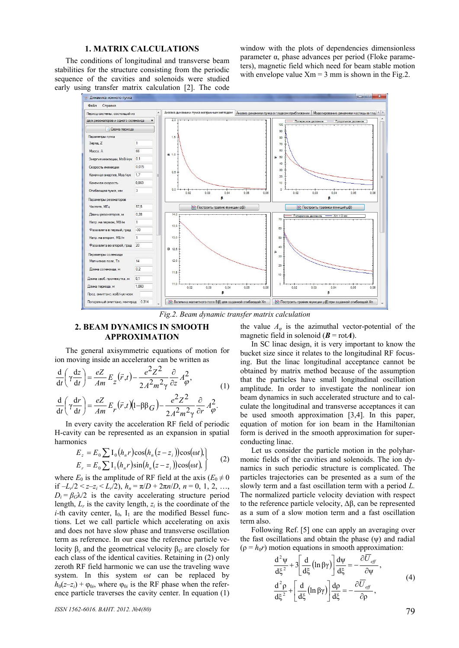### **1. MATRIX CALCULATIONS**

The conditions of longitudinal and transverse beam stabilities for the structure consisting from the periodic sequence of the cavities and solenoids were studied early using transfer matrix calculation [2]. The code window with the plots of dependencies dimensionless parameter α, phase advances per period (Floke parameters), magnetic field which need for beam stable motion with envelope value  $Xm = 3$  mm is shown in the Fig.2.



*Fig.2. Beam dynamic transfer matrix calculation* 

### **2. BEAM DYNAMICS IN SMOOTH APPROXIMATION**

The general axisymmetric equations of motion for ion moving inside an accelerator can be written as

$$
\frac{\mathrm{d}}{\mathrm{d}t} \left( \gamma \frac{\mathrm{d}z}{\mathrm{d}t} \right) = \frac{eZ}{Am} E_z(\vec{r}, t) - \frac{e^2 Z^2}{2A^2 m^2 \gamma} \frac{\partial}{\partial z} A_{\varphi}^2, \tag{1}
$$

$$
\frac{\mathrm{d}}{\mathrm{d}t} \left( \gamma \frac{\mathrm{d}r}{\mathrm{d}t} \right) = \frac{eZ}{Am} E_r(\vec{r}, t) \left( 1 - \beta \beta_G \right) - \frac{e^2 Z^2}{2 A^2 m^2 \gamma} \frac{\partial}{\partial r} A_{\varphi}^2.
$$

In every cavity the acceleration RF field of periodic H-cavity can be represented as an expansion in spatial harmonics

$$
E_z = E_0 \sum I_0(h_n r) \cos(h_n (z - z_i)) \cos(\omega t),
$$
  
\n
$$
E_r = E_0 \sum I_1(h_n r) \sin(h_n (z - z_i)) \cos(\omega t),
$$
 (2)

where  $E_0$  is the amplitude of RF field at the axis ( $E_0 \neq 0$ if  $-L_r/2 < z-z_i < L_r/2$ ,  $h_n = \pi/D + 2\pi n/D$ ,  $n = 0, 1, 2, ...,$  $D_i = \beta_G \lambda/2$  is the cavity accelerating structure period length,  $L_r$  is the cavity length,  $z_i$  is the coordinate of the *i*-th cavity center,  $I_0$ ,  $I_1$  are the modified Bessel functions. Let we call particle which accelerating on axis and does not have slow phase and transverse oscillation term as reference. In our case the reference particle velocity β*c* and the geometrical velocity β*G* are closely for each class of the identical cavities. Retaining in (2) only zeroth RF field harmonic we can use the traveling wave system. In this system ω*t* can be replaced by  $h_0(z-z_i) + \varphi_{0i}$ , where  $\varphi_{0i}$  is the RF phase when the reference particle traverses the cavity center. In equation (1) the value  $A_{\varphi}$  is the azimuthal vector-potential of the magnetic field in solenoid  $(B = \text{rot}A)$ .

In SC linac design, it is very important to know the bucket size since it relates to the longitudinal RF focusing. But the linac longitudinal acceptance cannot be obtained by matrix method because of the assumption that the particles have small longitudinal oscillation amplitude. In order to investigate the nonlinear ion beam dynamics in such accelerated structure and to calculate the longitudinal and transverse acceptances it can be used smooth approximation [3,4]. In this paper, equation of motion for ion beam in the Hamiltonian form is derived in the smooth approximation for superconducting linac.

Let us consider the particle motion in the polyharmonic fields of the cavities and solenoids. The ion dynamics in such periodic structure is complicated. The particles trajectories can be presented as a sum of the slowly term and a fast oscillation term with a period *L.* The normalized particle velocity deviation with respect to the reference particle velocity, Δβ, can be represented as a sum of a slow motion term and a fast oscillation term also.

Following Ref. [5] one can apply an averaging over the fast oscillations and obtain the phase  $(\psi)$  and radial  $(\rho = h_0 r)$  motion equations in smooth approximation:

$$
\frac{d^2 \psi}{d\xi^2} + 3 \left[ \frac{d}{d\xi} \left( \ln \beta \gamma \right) \right] \frac{d\psi}{d\xi} = -\frac{\partial \overline{U}_{\text{eff}}}{\partial \psi},
$$
\n
$$
\frac{d^2 \rho}{d\xi^2} + \left[ \frac{d}{d\xi} \left( \ln \beta \gamma \right) \right] \frac{d\rho}{d\xi} = -\frac{\partial \overline{U}_{\text{eff}}}{\partial \rho},
$$
\n(4)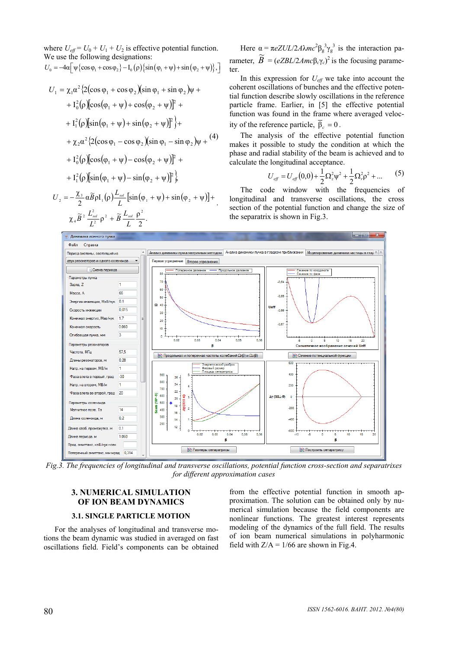where  $U_{\text{eff}} = U_0 + U_1 + U_2$  is effective potential function. We use the following designations:  $U_0 = -4\alpha \left[ \psi \left\{ \cos \varphi_1 + \cos \varphi_2 \right\} - I_0(\rho) \left\{ \sin \left( \varphi_1 + \psi \right) + \sin \left( \varphi_2 + \psi \right) \right\}, \right]$ 

$$
U_{1} = \chi_{1}\alpha^{2} \{2(\cos\varphi_{1} + \cos\varphi_{2})(\sin\varphi_{1} + \sin\varphi_{2})\psi ++ I_{0}^{2}(\rho)[\cos(\varphi_{1} + \psi) + \cos(\varphi_{2} + \psi)]^{2} ++ I_{1}^{2}(\rho)[\sin(\varphi_{1} + \psi) + \sin(\varphi_{2} + \psi)]^{2}\} ++ \chi_{2}\alpha^{2} \{2(\cos\varphi_{1} - \cos\varphi_{2})(\sin\varphi_{1} - \sin\varphi_{2})\psi +(4)+ I_{0}^{2}(\rho)[\cos(\varphi_{1} + \psi) - \cos(\varphi_{2} + \psi)]^{2} ++ I_{1}^{2}(\rho)[\sin(\varphi_{1} + \psi) - \sin(\varphi_{2} + \psi)]^{2}\} U_{2} = -\frac{\chi_{3}}{2}\alpha\widetilde{B}\rho I_{1}(\rho)\frac{L_{sol}}{L}[\sin(\varphi_{1} + \psi) + \sin(\varphi_{2} + \psi)] +
$$

 $\chi_{\scriptscriptstyle 4} \widetilde{B}^{\scriptscriptstyle 2} \, \frac{L_{\scriptscriptstyle sol}^{\scriptscriptstyle 2}}{L^{\scriptscriptstyle 2}} \, \rho^{\scriptscriptstyle 2} \, + \, \widetilde{B} \, \frac{L_{\scriptscriptstyle sol}}{L} \frac{\rho^{\scriptscriptstyle 2}}{2}.$ 

 $\frac{L_{sol}^2}{L^2}$   $\rho^2$  +  $\widetilde{B}$   $\frac{L}{B}$  $\widetilde{B}$ <sup>2</sup>  $\frac{L_{sol}^2}{\sigma^2}$   $\rho^2$  +  $\widetilde{B}$   $\frac{L_{sol}}{\sigma}$ 

 $_{4}\widetilde{B}^{2}\,\frac{L_{sol}^{2}}{L^{2}}\,\mathsf{p}^{2}+\widetilde{B}\,\frac{L_{sa}}{L}$ 

Here  $\alpha = \pi eZUL/2A\lambda mc^2\beta_g^3\gamma_g^3$  is the interaction parameter,  $\widetilde{B} = (eZBL/2Amc\beta_c\gamma_c)^2$  is the focusing parameter.

In this expression for  $U_{\text{eff}}$  we take into account the coherent oscillations of bunches and the effective potential function describe slowly oscillations in the reference particle frame. Earlier, in [5] the effective potential function was found in the frame where averaged velocity of the reference particle,  $\overline{\beta}_c = 0$ .

The analysis of the effective potential function makes it possible to study the condition at which the phase and radial stability of the beam is achieved and to calculate the longitudinal acceptance.

$$
U_{\text{eff}} = U_{\text{eff}}(0,0) + \frac{1}{2}\Omega_z^2 \psi^2 + \frac{1}{2}\Omega_r^2 \rho^2 + \dots \tag{5}
$$

The code window with the frequencies of longitudinal and transverse oscillations, the cross section of the potential function and change the size of the separatrix is shown in Fig.3.



*Fig.3. The frequencies of longitudinal and transverse oscillations, potential function cross-section and separatrixes for different approximation cases* 

## **3. NUMERICAL SIMULATION OF ION BEAM DYNAMICS**

#### **3.1. SINGLE PARTICLE MOTION**

For the analyses of longitudinal and transverse motions the beam dynamic was studied in averaged on fast oscillations field. Field's components can be obtained from the effective potential function in smooth approximation. The solution can be obtained only by numerical simulation because the field components are nonlinear functions. The greatest interest represents modeling of the dynamics of the full field. The results of ion beam numerical simulations in polyharmonic field with  $Z/A = 1/66$  are shown in Fig.4.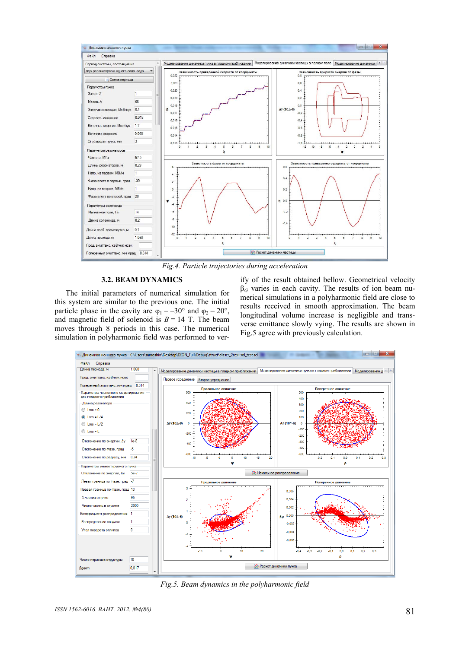

*Fig.4. Particle trajectories during acceleration* 

#### **3.2. BEAM DYNAMICS**

The initial parameters of numerical simulation for this system are similar to the previous one. The initial particle phase in the cavity are  $\varphi_1 = -30^\circ$  and  $\varphi_2 = 20^\circ$ , and magnetic field of solenoid is  $B = 14$  T. The beam moves through 8 periods in this case. The numerical simulation in polyharmonic field was performed to verify of the result obtained bellow. Geometrical velocity  $\beta$ <sup>G</sup> varies in each cavity. The results of ion beam numerical simulations in a polyharmonic field are close to results received in smooth approximation. The beam longitudinal volume increase is negligible and transverse emittance slowly vying. The results are shown in Fig.5 agree with previously calculation.



*Fig.5. Beam dynamics in the polyharmonic field*